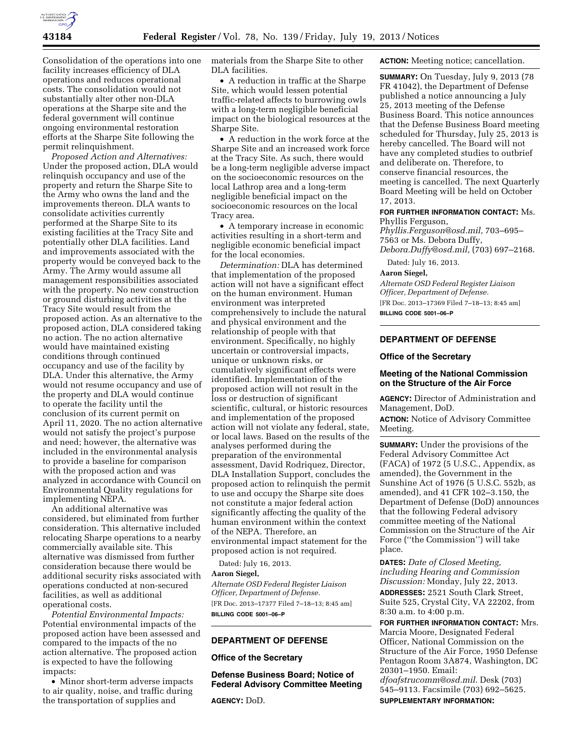

Consolidation of the operations into one facility increases efficiency of DLA operations and reduces operational costs. The consolidation would not substantially alter other non-DLA operations at the Sharpe site and the federal government will continue ongoing environmental restoration efforts at the Sharpe Site following the permit relinquishment.

*Proposed Action and Alternatives:*  Under the proposed action, DLA would relinquish occupancy and use of the property and return the Sharpe Site to the Army who owns the land and the improvements thereon. DLA wants to consolidate activities currently performed at the Sharpe Site to its existing facilities at the Tracy Site and potentially other DLA facilities. Land and improvements associated with the property would be conveyed back to the Army. The Army would assume all management responsibilities associated with the property. No new construction or ground disturbing activities at the Tracy Site would result from the proposed action. As an alternative to the proposed action, DLA considered taking no action. The no action alternative would have maintained existing conditions through continued occupancy and use of the facility by DLA. Under this alternative, the Army would not resume occupancy and use of the property and DLA would continue to operate the facility until the conclusion of its current permit on April 11, 2020. The no action alternative would not satisfy the project's purpose and need; however, the alternative was included in the environmental analysis to provide a baseline for comparison with the proposed action and was analyzed in accordance with Council on Environmental Quality regulations for implementing NEPA.

An additional alternative was considered, but eliminated from further consideration. This alternative included relocating Sharpe operations to a nearby commercially available site. This alternative was dismissed from further consideration because there would be additional security risks associated with operations conducted at non-secured facilities, as well as additional operational costs.

*Potential Environmental Impacts:*  Potential environmental impacts of the proposed action have been assessed and compared to the impacts of the no action alternative. The proposed action is expected to have the following impacts:

• Minor short-term adverse impacts to air quality, noise, and traffic during the transportation of supplies and

materials from the Sharpe Site to other DLA facilities.

• A reduction in traffic at the Sharpe Site, which would lessen potential traffic-related affects to burrowing owls with a long-term negligible beneficial impact on the biological resources at the Sharpe Site.

• A reduction in the work force at the Sharpe Site and an increased work force at the Tracy Site. As such, there would be a long-term negligible adverse impact on the socioeconomic resources on the local Lathrop area and a long-term negligible beneficial impact on the socioeconomic resources on the local Tracy area.

• A temporary increase in economic activities resulting in a short-term and negligible economic beneficial impact for the local economies.

*Determination:* DLA has determined that implementation of the proposed action will not have a significant effect on the human environment. Human environment was interpreted comprehensively to include the natural and physical environment and the relationship of people with that environment. Specifically, no highly uncertain or controversial impacts, unique or unknown risks, or cumulatively significant effects were identified. Implementation of the proposed action will not result in the loss or destruction of significant scientific, cultural, or historic resources and implementation of the proposed action will not violate any federal, state, or local laws. Based on the results of the analyses performed during the preparation of the environmental assessment, David Rodriquez, Director, DLA Installation Support, concludes the proposed action to relinquish the permit to use and occupy the Sharpe site does not constitute a major federal action significantly affecting the quality of the human environment within the context of the NEPA. Therefore, an environmental impact statement for the proposed action is not required.

Dated: July 16, 2013.

## **Aaron Siegel,**

*Alternate OSD Federal Register Liaison Officer, Department of Defense.*  [FR Doc. 2013–17377 Filed 7–18–13; 8:45 am] **BILLING CODE 5001–06–P** 

# **DEPARTMENT OF DEFENSE**

#### **Office of the Secretary**

**Defense Business Board; Notice of Federal Advisory Committee Meeting** 

**AGENCY:** DoD.

**ACTION:** Meeting notice; cancellation.

**SUMMARY:** On Tuesday, July 9, 2013 (78 FR 41042), the Department of Defense published a notice announcing a July 25, 2013 meeting of the Defense Business Board. This notice announces that the Defense Business Board meeting scheduled for Thursday, July 25, 2013 is hereby cancelled. The Board will not have any completed studies to outbrief and deliberate on. Therefore, to conserve financial resources, the meeting is cancelled. The next Quarterly Board Meeting will be held on October 17, 2013.

## **FOR FURTHER INFORMATION CONTACT:** Ms. Phyllis Ferguson,

*[Phyllis.Ferguson@osd.mil,](mailto:Phyllis.Ferguson@osd.mil)* 703–695– 7563 or Ms. Debora Duffy, *[Debora.Duffy@osd.mil,](mailto:Debora.Duffy@osd.mil)* (703) 697–2168. Dated: July 16, 2013.

## **Aaron Siegel,**

*Alternate OSD Federal Register Liaison Officer, Department of Defense.*  [FR Doc. 2013–17369 Filed 7–18–13; 8:45 am]

**BILLING CODE 5001–06–P** 

## **DEPARTMENT OF DEFENSE**

#### **Office of the Secretary**

#### **Meeting of the National Commission on the Structure of the Air Force**

**AGENCY:** Director of Administration and Management, DoD.

**ACTION:** Notice of Advisory Committee Meeting.

**SUMMARY:** Under the provisions of the Federal Advisory Committee Act (FACA) of 1972 (5 U.S.C., Appendix, as amended), the Government in the Sunshine Act of 1976 (5 U.S.C. 552b, as amended), and 41 CFR 102–3.150, the Department of Defense (DoD) announces that the following Federal advisory committee meeting of the National Commission on the Structure of the Air Force (''the Commission'') will take place.

**DATES:** *Date of Closed Meeting, including Hearing and Commission Discussion:* Monday, July 22, 2013. **ADDRESSES:** 2521 South Clark Street, Suite 525, Crystal City, VA 22202, from 8:30 a.m. to 4:00 p.m.

**FOR FURTHER INFORMATION CONTACT:** Mrs. Marcia Moore, Designated Federal Officer, National Commission on the Structure of the Air Force, 1950 Defense Pentagon Room 3A874, Washington, DC 20301–1950. Email: *[dfoafstrucomm@osd.mil](mailto:dfoafstrucomm@osd.mil)*. Desk (703) 545–9113. Facsimile (703) 692–5625. **SUPPLEMENTARY INFORMATION:**